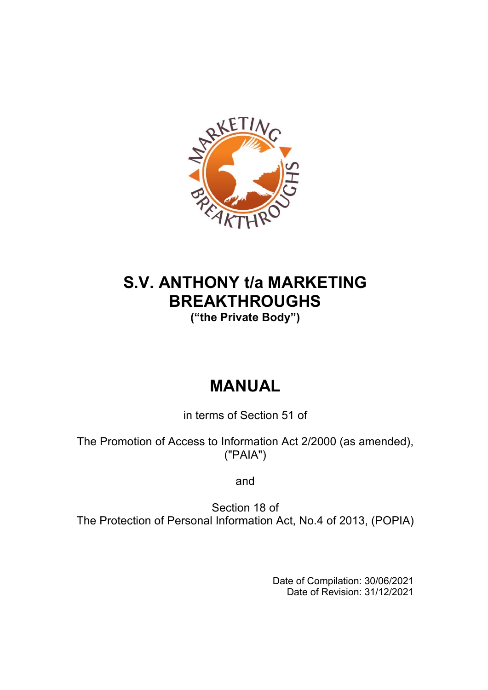

# **S.V. ANTHONY t/a MARKETING BREAKTHROUGHS**

**("the Private Body")**

# **MANUAL**

in terms of Section 51 of

The Promotion of Access to Information Act 2/2000 (as amended), ("PAIA")

and

Section 18 of The Protection of Personal Information Act, No.4 of 2013, (POPIA)

> Date of Compilation: 30/06/2021 Date of Revision: 31/12/2021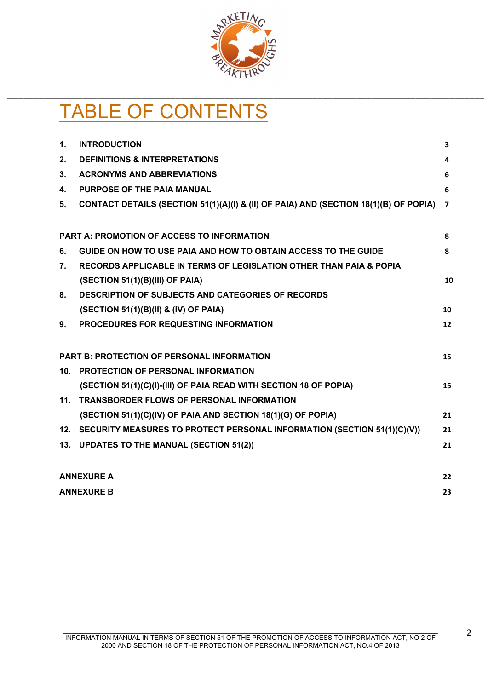

# TABLE OF CONTENTS

| $\mathbf{1}$ . | <b>INTRODUCTION</b>                                                                  | 3                       |
|----------------|--------------------------------------------------------------------------------------|-------------------------|
| 2.             | <b>DEFINITIONS &amp; INTERPRETATIONS</b>                                             | 4                       |
| 3 <sub>1</sub> | <b>ACRONYMS AND ABBREVIATIONS</b>                                                    | 6                       |
| 4.             | <b>PURPOSE OF THE PAIA MANUAL</b>                                                    | 6                       |
| 5.             | CONTACT DETAILS (SECTION 51(1)(A)(I) & (II) OF PAIA) AND (SECTION 18(1)(B) OF POPIA) | $\overline{\mathbf{z}}$ |
|                |                                                                                      |                         |
|                | <b>PART A: PROMOTION OF ACCESS TO INFORMATION</b>                                    | 8                       |
| 6.             | GUIDE ON HOW TO USE PAIA AND HOW TO OBTAIN ACCESS TO THE GUIDE                       | 8                       |
| 7.             | RECORDS APPLICABLE IN TERMS OF LEGISLATION OTHER THAN PAIA & POPIA                   |                         |
|                | (SECTION 51(1)(B)(III) OF PAIA)                                                      | 10                      |
| 8.             | <b>DESCRIPTION OF SUBJECTS AND CATEGORIES OF RECORDS</b>                             |                         |
|                | (SECTION 51(1)(B)(II) & (IV) OF PAIA)                                                | 10                      |
| 9.             | PROCEDURES FOR REQUESTING INFORMATION                                                | 12                      |
|                |                                                                                      |                         |
|                | <b>PART B: PROTECTION OF PERSONAL INFORMATION</b>                                    | 15                      |
|                | 10. PROTECTION OF PERSONAL INFORMATION                                               |                         |
|                | (SECTION 51(1)(C)(I)-(III) OF PAIA READ WITH SECTION 18 OF POPIA)                    | 15                      |
| 11.            | <b>TRANSBORDER FLOWS OF PERSONAL INFORMATION</b>                                     |                         |
|                | (SECTION 51(1)(C)(IV) OF PAIA AND SECTION 18(1)(G) OF POPIA)                         | 21                      |
|                | 12. SECURITY MEASURES TO PROTECT PERSONAL INFORMATION (SECTION 51(1)(C)(V))          | 21                      |
|                | 13. UPDATES TO THE MANUAL (SECTION 51(2))                                            | 21                      |
|                | <b>ANNEXURE A</b>                                                                    | 22                      |
|                | <b>ANNEXURE B</b>                                                                    | 23                      |
|                |                                                                                      |                         |

2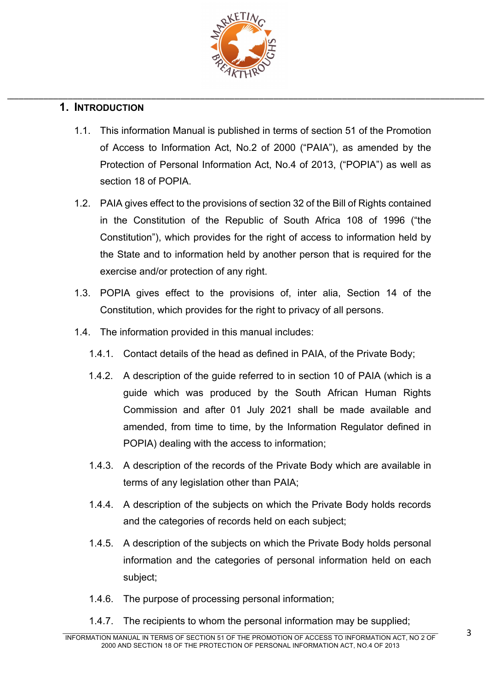

# **1. INTRODUCTION**

- 1.1. This information Manual is published in terms of section 51 of the Promotion of Access to Information Act, No.2 of 2000 ("PAIA"), as amended by the Protection of Personal Information Act, No.4 of 2013, ("POPIA") as well as section 18 of POPIA.
- 1.2. PAIA gives effect to the provisions of section 32 of the Bill of Rights contained in the Constitution of the Republic of South Africa 108 of 1996 ("the Constitution"), which provides for the right of access to information held by the State and to information held by another person that is required for the exercise and/or protection of any right.
- 1.3. POPIA gives effect to the provisions of, inter alia, Section 14 of the Constitution, which provides for the right to privacy of all persons.
- 1.4. The information provided in this manual includes:
	- 1.4.1. Contact details of the head as defined in PAIA, of the Private Body;
	- 1.4.2. A description of the guide referred to in section 10 of PAIA (which is a guide which was produced by the South African Human Rights Commission and after 01 July 2021 shall be made available and amended, from time to time, by the Information Regulator defined in POPIA) dealing with the access to information;
	- 1.4.3. A description of the records of the Private Body which are available in terms of any legislation other than PAIA;
	- 1.4.4. A description of the subjects on which the Private Body holds records and the categories of records held on each subject;
	- 1.4.5. A description of the subjects on which the Private Body holds personal information and the categories of personal information held on each subject;
	- 1.4.6. The purpose of processing personal information;
	- 1.4.7. The recipients to whom the personal information may be supplied;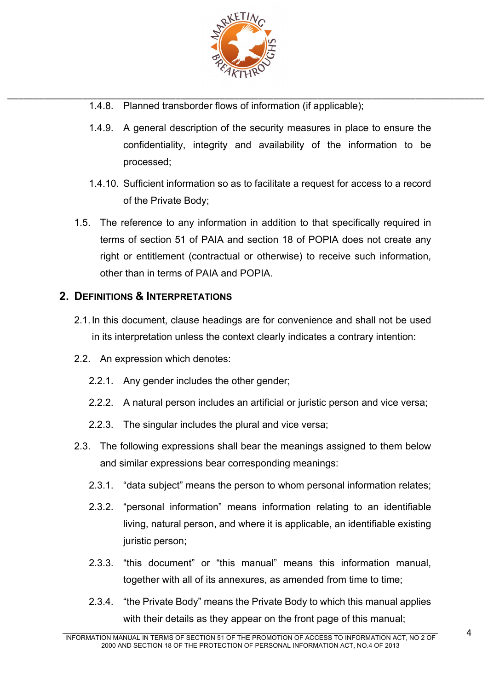

- \_\_\_\_\_\_\_\_\_\_\_\_\_\_\_\_\_\_\_\_\_\_\_\_\_\_\_\_\_\_\_\_\_\_\_\_\_\_\_\_\_\_\_\_\_\_\_\_\_\_\_\_\_\_\_\_\_\_\_\_\_\_\_\_\_\_\_\_\_\_\_\_\_\_\_\_\_\_\_\_\_\_\_\_\_\_\_\_\_\_\_\_\_\_\_\_\_\_ 1.4.8. Planned transborder flows of information (if applicable);
	- 1.4.9. A general description of the security measures in place to ensure the confidentiality, integrity and availability of the information to be processed;
	- 1.4.10. Sufficient information so as to facilitate a request for access to a record of the Private Body;
	- 1.5. The reference to any information in addition to that specifically required in terms of section 51 of PAIA and section 18 of POPIA does not create any right or entitlement (contractual or otherwise) to receive such information, other than in terms of PAIA and POPIA.

# **2. DEFINITIONS & INTERPRETATIONS**

- 2.1.In this document, clause headings are for convenience and shall not be used in its interpretation unless the context clearly indicates a contrary intention:
- 2.2. An expression which denotes:
	- 2.2.1. Any gender includes the other gender;
	- 2.2.2. A natural person includes an artificial or juristic person and vice versa;
	- 2.2.3. The singular includes the plural and vice versa;
- 2.3. The following expressions shall bear the meanings assigned to them below and similar expressions bear corresponding meanings:
	- 2.3.1. "data subject" means the person to whom personal information relates;
	- 2.3.2. "personal information" means information relating to an identifiable living, natural person, and where it is applicable, an identifiable existing juristic person;
	- 2.3.3. "this document" or "this manual" means this information manual, together with all of its annexures, as amended from time to time;
	- 2.3.4. "the Private Body" means the Private Body to which this manual applies with their details as they appear on the front page of this manual;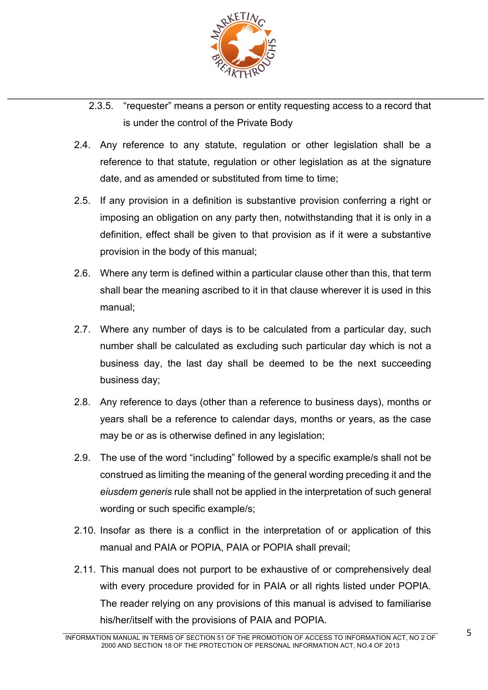

- \_\_\_\_\_\_\_\_\_\_\_\_\_\_\_\_\_\_\_\_\_\_\_\_\_\_\_\_\_\_\_\_\_\_\_\_\_\_\_\_\_\_\_\_\_\_\_\_\_\_\_\_\_\_\_\_\_\_\_\_\_\_\_\_\_\_\_\_\_\_\_\_\_\_\_\_\_\_\_\_\_\_\_\_\_\_\_\_\_\_\_\_\_\_\_\_\_\_ 2.3.5. "requester" means a person or entity requesting access to a record that is under the control of the Private Body
	- 2.4. Any reference to any statute, regulation or other legislation shall be a reference to that statute, regulation or other legislation as at the signature date, and as amended or substituted from time to time;
	- 2.5. If any provision in a definition is substantive provision conferring a right or imposing an obligation on any party then, notwithstanding that it is only in a definition, effect shall be given to that provision as if it were a substantive provision in the body of this manual;
	- 2.6. Where any term is defined within a particular clause other than this, that term shall bear the meaning ascribed to it in that clause wherever it is used in this manual;
	- 2.7. Where any number of days is to be calculated from a particular day, such number shall be calculated as excluding such particular day which is not a business day, the last day shall be deemed to be the next succeeding business day;
	- 2.8. Any reference to days (other than a reference to business days), months or years shall be a reference to calendar days, months or years, as the case may be or as is otherwise defined in any legislation;
	- 2.9. The use of the word "including" followed by a specific example/s shall not be construed as limiting the meaning of the general wording preceding it and the *eiusdem generis* rule shall not be applied in the interpretation of such general wording or such specific example/s;
	- 2.10. Insofar as there is a conflict in the interpretation of or application of this manual and PAIA or POPIA, PAIA or POPIA shall prevail;
	- 2.11. This manual does not purport to be exhaustive of or comprehensively deal with every procedure provided for in PAIA or all rights listed under POPIA. The reader relying on any provisions of this manual is advised to familiarise his/her/itself with the provisions of PAIA and POPIA.

 $\mathcal{L}_\mathcal{L} = \mathcal{L}_\mathcal{L} = \mathcal{L}_\mathcal{L} = \mathcal{L}_\mathcal{L} = \mathcal{L}_\mathcal{L} = \mathcal{L}_\mathcal{L} = \mathcal{L}_\mathcal{L} = \mathcal{L}_\mathcal{L} = \mathcal{L}_\mathcal{L} = \mathcal{L}_\mathcal{L} = \mathcal{L}_\mathcal{L} = \mathcal{L}_\mathcal{L} = \mathcal{L}_\mathcal{L} = \mathcal{L}_\mathcal{L} = \mathcal{L}_\mathcal{L} = \mathcal{L}_\mathcal{L} = \mathcal{L}_\mathcal{L}$ INFORMATION MANUAL IN TERMS OF SECTION 51 OF THE PROMOTION OF ACCESS TO INFORMATION ACT, NO 2 OF 2000 AND SECTION 18 OF THE PROTECTION OF PERSONAL INFORMATION ACT, NO.4 OF 2013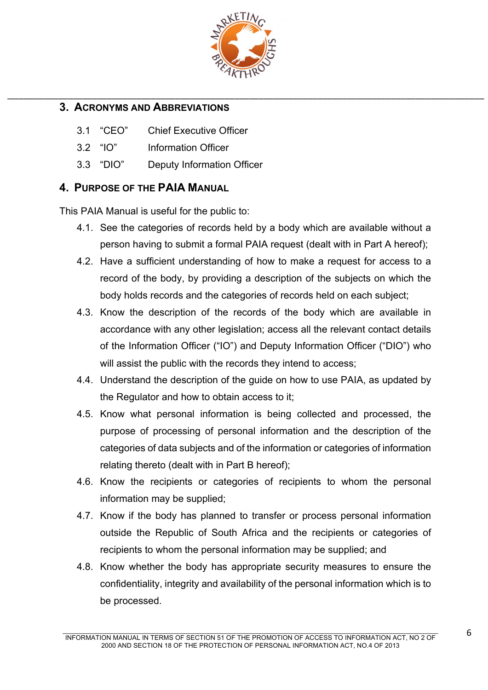

# **3. ACRONYMS AND ABBREVIATIONS**

- 3.1 "CEO" Chief Executive Officer
- 3.2 "IO" Information Officer
- 3.3 "DIO" Deputy Information Officer

# **4. PURPOSE OF THE PAIA MANUAL**

This PAIA Manual is useful for the public to:

- 4.1. See the categories of records held by a body which are available without a person having to submit a formal PAIA request (dealt with in Part A hereof);
- 4.2. Have a sufficient understanding of how to make a request for access to a record of the body, by providing a description of the subjects on which the body holds records and the categories of records held on each subject;
- 4.3. Know the description of the records of the body which are available in accordance with any other legislation; access all the relevant contact details of the Information Officer ("IO") and Deputy Information Officer ("DIO") who will assist the public with the records they intend to access:
- 4.4. Understand the description of the guide on how to use PAIA, as updated by the Regulator and how to obtain access to it;
- 4.5. Know what personal information is being collected and processed, the purpose of processing of personal information and the description of the categories of data subjects and of the information or categories of information relating thereto (dealt with in Part B hereof);
- 4.6. Know the recipients or categories of recipients to whom the personal information may be supplied;
- 4.7. Know if the body has planned to transfer or process personal information outside the Republic of South Africa and the recipients or categories of recipients to whom the personal information may be supplied; and
- 4.8. Know whether the body has appropriate security measures to ensure the confidentiality, integrity and availability of the personal information which is to be processed.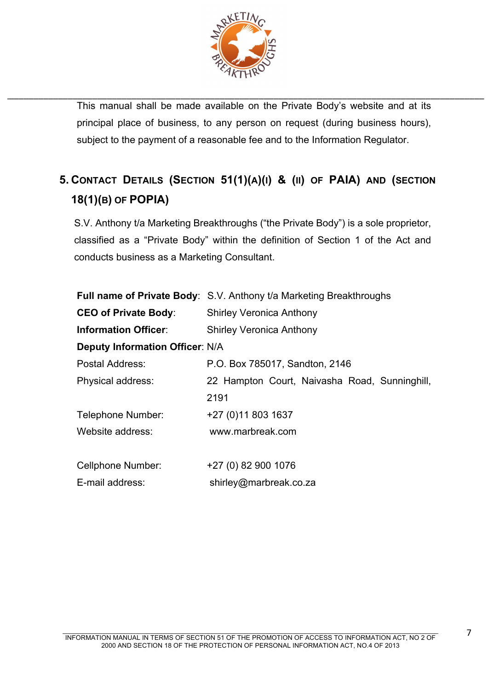

\_\_\_\_\_\_\_\_\_\_\_\_\_\_\_\_\_\_\_\_\_\_\_\_\_\_\_\_\_\_\_\_\_\_\_\_\_\_\_\_\_\_\_\_\_\_\_\_\_\_\_\_\_\_\_\_\_\_\_\_\_\_\_\_\_\_\_\_\_\_\_\_\_\_\_\_\_\_\_\_\_\_\_\_\_\_\_\_\_\_\_\_\_\_\_\_\_\_ This manual shall be made available on the Private Body's website and at its principal place of business, to any person on request (during business hours), subject to the payment of a reasonable fee and to the Information Regulator.

# **5. CONTACT DETAILS (SECTION 51(1)(A)(I) & (II) OF PAIA) AND (SECTION 18(1)(B) OF POPIA)**

S.V. Anthony t/a Marketing Breakthroughs ("the Private Body") is a sole proprietor, classified as a "Private Body" within the definition of Section 1 of the Act and conducts business as a Marketing Consultant.

|                                        | <b>Full name of Private Body:</b> S.V. Anthony t/a Marketing Breakthroughs |  |  |
|----------------------------------------|----------------------------------------------------------------------------|--|--|
| <b>CEO of Private Body:</b>            | <b>Shirley Veronica Anthony</b>                                            |  |  |
| <b>Information Officer:</b>            | <b>Shirley Veronica Anthony</b>                                            |  |  |
| <b>Deputy Information Officer: N/A</b> |                                                                            |  |  |
| Postal Address:                        | P.O. Box 785017, Sandton, 2146                                             |  |  |
| Physical address:                      | 22 Hampton Court, Naivasha Road, Sunninghill,                              |  |  |
|                                        | 2191                                                                       |  |  |
| Telephone Number:                      | +27 (0) 11 803 1637                                                        |  |  |
| Website address:                       | www.marbreak.com                                                           |  |  |
|                                        |                                                                            |  |  |
| <b>Cellphone Number:</b>               | +27 (0) 82 900 1076                                                        |  |  |
| E-mail address:                        | shirley@marbreak.co.za                                                     |  |  |

7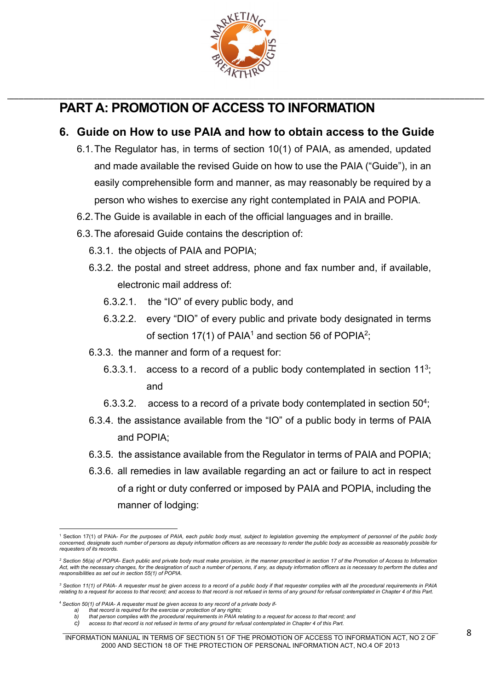

# **PART A: PROMOTION OF ACCESS TO INFORMATION**

# **6. Guide on How to use PAIA and how to obtain access to the Guide**

\_\_\_\_\_\_\_\_\_\_\_\_\_\_\_\_\_\_\_\_\_\_\_\_\_\_\_\_\_\_\_\_\_\_\_\_\_\_\_\_\_\_\_\_\_\_\_\_\_\_\_\_\_\_\_\_\_\_\_\_\_\_\_\_\_\_\_\_\_\_\_\_\_\_\_\_\_\_\_\_\_\_\_\_\_\_\_\_\_\_\_\_\_\_\_\_\_\_

- 6.1.The Regulator has, in terms of section 10(1) of PAIA, as amended, updated and made available the revised Guide on how to use the PAIA ("Guide"), in an easily comprehensible form and manner, as may reasonably be required by a person who wishes to exercise any right contemplated in PAIA and POPIA.
- 6.2.The Guide is available in each of the official languages and in braille.
- 6.3.The aforesaid Guide contains the description of:
	- 6.3.1. the objects of PAIA and POPIA;
	- 6.3.2. the postal and street address, phone and fax number and, if available, electronic mail address of:
		- 6.3.2.1. the "IO" of every public body, and
		- 6.3.2.2. every "DIO" of every public and private body designated in terms of section 17(1) of PAIA<sup>1</sup> and section 56 of POPIA<sup>2</sup>;
	- 6.3.3. the manner and form of a request for:
		- 6.3.3.1. access to a record of a public body contemplated in section  $11^3$ ; and
		- 6.3.3.2. access to a record of a private body contemplated in section  $50^4$ ;
	- 6.3.4. the assistance available from the "IO" of a public body in terms of PAIA and POPIA;
	- 6.3.5. the assistance available from the Regulator in terms of PAIA and POPIA;
	- 6.3.6. all remedies in law available regarding an act or failure to act in respect of a right or duty conferred or imposed by PAIA and POPIA, including the manner of lodging:

<sup>&</sup>lt;sup>1</sup> Section 17(1) of PAIA- *For the purposes of PAIA, each public body must, subject to legislation governing the employment of personnel of the public body concerned, designate such number of persons as deputy information officers as are necessary to render the public body as accessible as reasonably possible for any concerned, designate such number of persons as deputy info requesters of its records.* 

*<sup>2</sup> Section 56(a) of POPIA- Each public and private body must make provision, in the manner prescribed in section 17 of the Promotion of Access to Information*  Act, with the necessary changes, for the designation of such a number of persons, if any, as deputy information officers as is necessary to perform the duties and<br>responsibilities as set out in section 55(1) of POPIA.

*<sup>3</sup> Section 11(1) of PAIA- A requester must be given access to a record of a public body if that requester complies with all the procedural requirements in PAIA relating to a request for access to that record; and access to that record is not refused in terms of any ground for refusal contemplated in Chapter 4 of this Part.*

<sup>4</sup> *Section 50(1) of PAIA- A requester must be given access to any record of a private body if-*

*a) that record is required for the exercise or protection of any rights; b) that person complies with the procedural requirements in PAIA relating to a request for access to that record; and*

*c) access to that record is not refused in terms of any ground for refusal contemplated in Chapter 4 of this Part.*

 $\mathcal{L}_\mathcal{L} = \mathcal{L}_\mathcal{L} = \mathcal{L}_\mathcal{L} = \mathcal{L}_\mathcal{L} = \mathcal{L}_\mathcal{L} = \mathcal{L}_\mathcal{L} = \mathcal{L}_\mathcal{L} = \mathcal{L}_\mathcal{L} = \mathcal{L}_\mathcal{L} = \mathcal{L}_\mathcal{L} = \mathcal{L}_\mathcal{L} = \mathcal{L}_\mathcal{L} = \mathcal{L}_\mathcal{L} = \mathcal{L}_\mathcal{L} = \mathcal{L}_\mathcal{L} = \mathcal{L}_\mathcal{L} = \mathcal{L}_\mathcal{L}$ INFORMATION MANUAL IN TERMS OF SECTION 51 OF THE PROMOTION OF ACCESS TO INFORMATION ACT, NO 2 OF 2000 AND SECTION 18 OF THE PROTECTION OF PERSONAL INFORMATION ACT, NO.4 OF 2013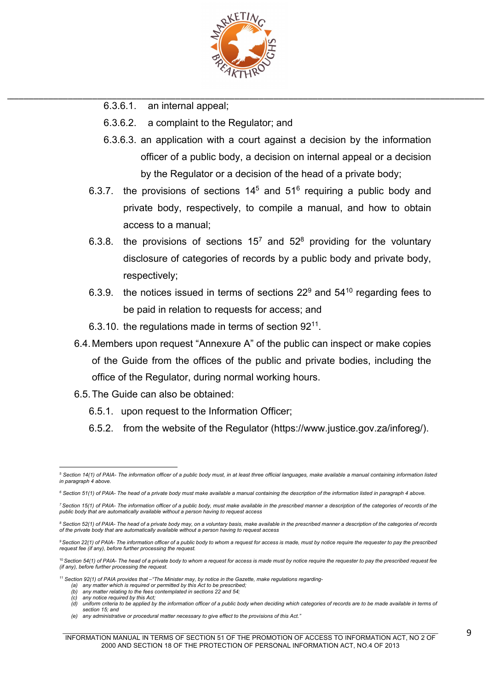

- 6.3.6.1. an internal appeal;
- 6.3.6.2. a complaint to the Regulator; and
- 6.3.6.3. an application with a court against a decision by the information officer of a public body, a decision on internal appeal or a decision by the Regulator or a decision of the head of a private body;
- 6.3.7. the provisions of sections  $14<sup>5</sup>$  and  $51<sup>6</sup>$  requiring a public body and private body, respectively, to compile a manual, and how to obtain access to a manual;
- 6.3.8. the provisions of sections  $15^7$  and  $52^8$  providing for the voluntary disclosure of categories of records by a public body and private body, respectively;
- 6.3.9. the notices issued in terms of sections  $22^9$  and  $54^{10}$  regarding fees to be paid in relation to requests for access; and
- 6.3.10. the regulations made in terms of section  $92^{11}$ .
- 6.4.Members upon request "Annexure A" of the public can inspect or make copies of the Guide from the offices of the public and private bodies, including the office of the Regulator, during normal working hours.
- 6.5.The Guide can also be obtained:
	- 6.5.1. upon request to the Information Officer;
	- 6.5.2. from the website of the Regulator (https://www.justice.gov.za/inforeg/).

any notice required by this Act;

*<sup>5</sup> Section 14(1) of PAIA- The information officer of a public body must, in at least three official languages, make available a manual containing information listed in paragraph 4 above.*

*<sup>6</sup> Section 51(1) of PAIA- The head of a private body must make available a manual containing the description of the information listed in paragraph 4 above.*

<sup>&</sup>lt;sup>7</sup> Section 15(1) of PAIA- The information officer of a public body, must make available in the prescribed manner a description of the categories of records of the *public body that are automatically available without a person having to request access*

*<sup>8</sup> Section 52(1) of PAIA- The head of a private body may, on a voluntary basis, make available in the prescribed manner a description of the categories of records of the private body that are automatically available without a person having to request access*

*<sup>9</sup>Section 22(1) of PAIA- The information officer of a public body to whom a request for access is made, must by notice require the requester to pay the prescribed request fee (if any), before further processing the request.*

<sup>&</sup>lt;sup>10</sup> Section 54(1) of PAIA- The head of a private body to whom a request for access is made must by notice require the requester to pay the prescribed request fee *(if any), before further processing the request.*

*<sup>11</sup> Section 92(1) of PAIA provides that –"The Minister may, by notice in the Gazette, make regulations regarding-*

*<sup>(</sup>a) any matter which is required or permitted by this Act to be prescribed; (b) any matter relating to the fees contemplated in sections 22 and 54;*

*<sup>(</sup>d) uniform criteria to be applied by the information officer of a public body when deciding which categories of records are to be made available in terms of section 15; and*

*<sup>(</sup>e) any administrative or procedural matter necessary to give effect to the provisions of this Act."*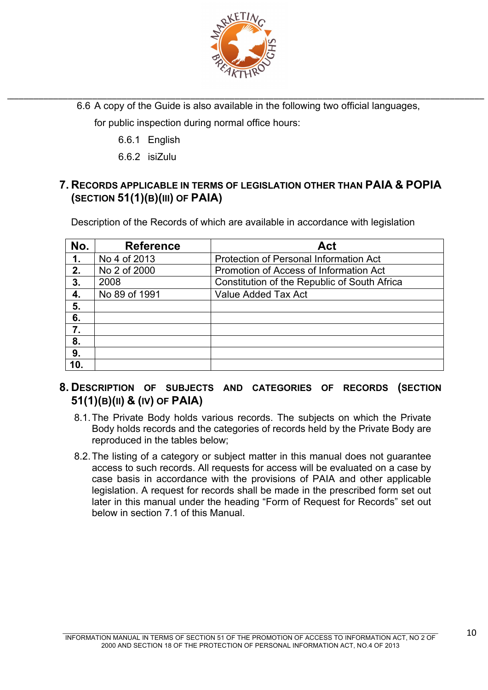

\_\_\_\_\_\_\_\_\_\_\_\_\_\_\_\_\_\_\_\_\_\_\_\_\_\_\_\_\_\_\_\_\_\_\_\_\_\_\_\_\_\_\_\_\_\_\_\_\_\_\_\_\_\_\_\_\_\_\_\_\_\_\_\_\_\_\_\_\_\_\_\_\_\_\_\_\_\_\_\_\_\_\_\_\_\_\_\_\_\_\_\_\_\_\_\_\_\_ 6.6 A copy of the Guide is also available in the following two official languages,

for public inspection during normal office hours:

- 6.6.1 English
- 6.6.2 isiZulu

# **7. RECORDS APPLICABLE IN TERMS OF LEGISLATION OTHER THAN PAIA & POPIA (SECTION 51(1)(B)(III) OF PAIA)**

Description of the Records of which are available in accordance with legislation

| No. | <b>Reference</b> | Act                                           |  |
|-----|------------------|-----------------------------------------------|--|
| 1.  | No 4 of 2013     | <b>Protection of Personal Information Act</b> |  |
| 2.  | No 2 of 2000     | Promotion of Access of Information Act        |  |
| 3.  | 2008             | Constitution of the Republic of South Africa  |  |
| 4.  | No 89 of 1991    | Value Added Tax Act                           |  |
| 5.  |                  |                                               |  |
| 6.  |                  |                                               |  |
| 7.  |                  |                                               |  |
| 8.  |                  |                                               |  |
| 9.  |                  |                                               |  |
| 10. |                  |                                               |  |

# **8. DESCRIPTION OF SUBJECTS AND CATEGORIES OF RECORDS (SECTION 51(1)(B)(II) & (IV) OF PAIA)**

- 8.1.The Private Body holds various records. The subjects on which the Private Body holds records and the categories of records held by the Private Body are reproduced in the tables below;
- 8.2.The listing of a category or subject matter in this manual does not guarantee access to such records. All requests for access will be evaluated on a case by case basis in accordance with the provisions of PAIA and other applicable legislation. A request for records shall be made in the prescribed form set out later in this manual under the heading "Form of Request for Records" set out below in section 7.1 of this Manual.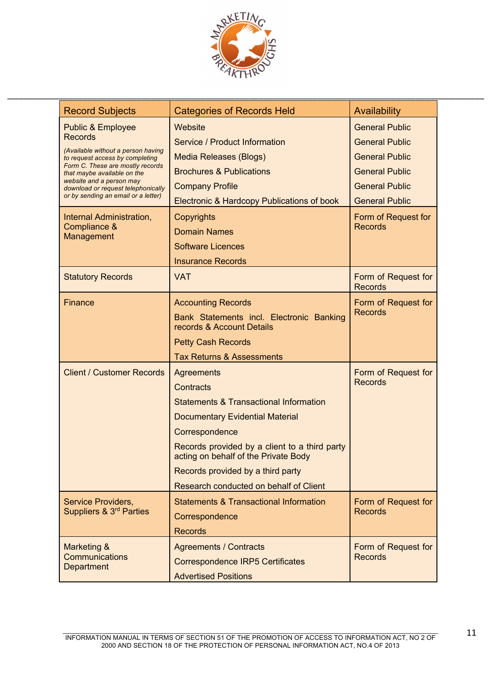

| <b>Record Subjects</b>                                                | <b>Categories of Records Held</b>                                                     | Availability                          |
|-----------------------------------------------------------------------|---------------------------------------------------------------------------------------|---------------------------------------|
| <b>Public &amp; Employee</b>                                          | Website                                                                               | <b>General Public</b>                 |
| <b>Records</b>                                                        | Service / Product Information                                                         | <b>General Public</b>                 |
| (Available without a person having<br>to request access by completing | <b>Media Releases (Blogs)</b>                                                         | <b>General Public</b>                 |
| Form C. These are mostly records<br>that maybe available on the       | <b>Brochures &amp; Publications</b>                                                   | <b>General Public</b>                 |
| website and a person may<br>download or request telephonically        | <b>Company Profile</b>                                                                | <b>General Public</b>                 |
| or by sending an email or a letter)                                   | Electronic & Hardcopy Publications of book                                            | <b>General Public</b>                 |
| Internal Administration,                                              | Copyrights                                                                            | Form of Request for                   |
| Compliance &<br>Management                                            | <b>Domain Names</b>                                                                   | <b>Records</b>                        |
|                                                                       | <b>Software Licences</b>                                                              |                                       |
|                                                                       | <b>Insurance Records</b>                                                              |                                       |
| <b>Statutory Records</b>                                              | <b>VAT</b>                                                                            | Form of Request for<br><b>Records</b> |
| <b>Finance</b>                                                        | <b>Accounting Records</b>                                                             | Form of Request for                   |
|                                                                       | Bank Statements incl. Electronic Banking<br>records & Account Details                 | <b>Records</b>                        |
|                                                                       | <b>Petty Cash Records</b>                                                             |                                       |
|                                                                       | <b>Tax Returns &amp; Assessments</b>                                                  |                                       |
| <b>Client / Customer Records</b>                                      | <b>Agreements</b>                                                                     | Form of Request for                   |
|                                                                       | <b>Contracts</b>                                                                      | <b>Records</b>                        |
|                                                                       | <b>Statements &amp; Transactional Information</b>                                     |                                       |
|                                                                       | <b>Documentary Evidential Material</b>                                                |                                       |
|                                                                       | Correspondence                                                                        |                                       |
|                                                                       | Records provided by a client to a third party<br>acting on behalf of the Private Body |                                       |
|                                                                       | Records provided by a third party                                                     |                                       |
|                                                                       | Research conducted on behalf of Client                                                |                                       |
| Service Providers,                                                    | <b>Statements &amp; Transactional Information</b>                                     | Form of Request for                   |
| Suppliers & 3 <sup>rd</sup> Parties                                   | Correspondence                                                                        | <b>Records</b>                        |
|                                                                       | <b>Records</b>                                                                        |                                       |
| Marketing &                                                           | <b>Agreements / Contracts</b>                                                         | Form of Request for                   |
| Communications<br>Department                                          | <b>Correspondence IRP5 Certificates</b>                                               | <b>Records</b>                        |
|                                                                       | <b>Advertised Positions</b>                                                           |                                       |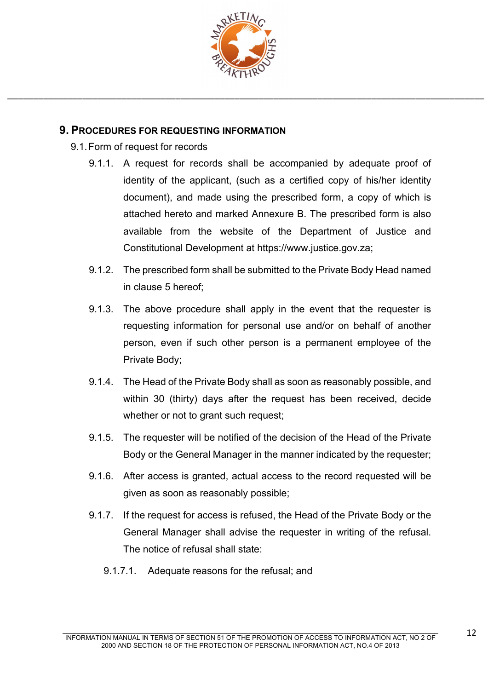

### **9. PROCEDURES FOR REQUESTING INFORMATION**

- 9.1.Form of request for records
	- 9.1.1. A request for records shall be accompanied by adequate proof of identity of the applicant, (such as a certified copy of his/her identity document), and made using the prescribed form, a copy of which is attached hereto and marked Annexure B. The prescribed form is also available from the website of the Department of Justice and Constitutional Development at https://www.justice.gov.za;
	- 9.1.2. The prescribed form shall be submitted to the Private Body Head named in clause 5 hereof;
	- 9.1.3. The above procedure shall apply in the event that the requester is requesting information for personal use and/or on behalf of another person, even if such other person is a permanent employee of the Private Body;
	- 9.1.4. The Head of the Private Body shall as soon as reasonably possible, and within 30 (thirty) days after the request has been received, decide whether or not to grant such request;
	- 9.1.5. The requester will be notified of the decision of the Head of the Private Body or the General Manager in the manner indicated by the requester;
	- 9.1.6. After access is granted, actual access to the record requested will be given as soon as reasonably possible;
	- 9.1.7. If the request for access is refused, the Head of the Private Body or the General Manager shall advise the requester in writing of the refusal. The notice of refusal shall state:
		- 9.1.7.1. Adequate reasons for the refusal; and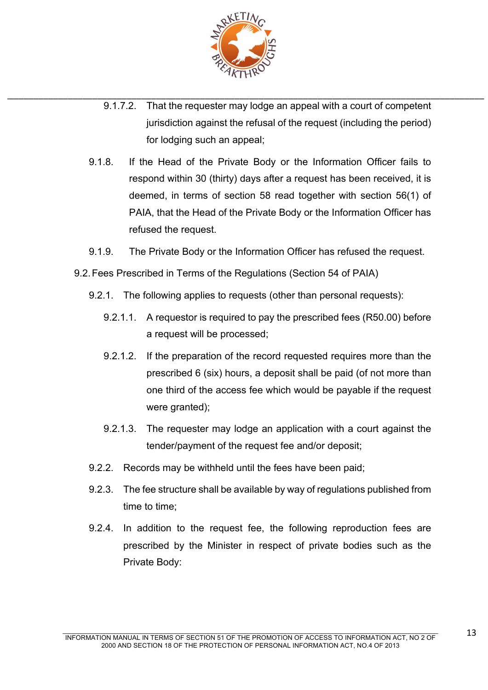

- \_\_\_\_\_\_\_\_\_\_\_\_\_\_\_\_\_\_\_\_\_\_\_\_\_\_\_\_\_\_\_\_\_\_\_\_\_\_\_\_\_\_\_\_\_\_\_\_\_\_\_\_\_\_\_\_\_\_\_\_\_\_\_\_\_\_\_\_\_\_\_\_\_\_\_\_\_\_\_\_\_\_\_\_\_\_\_\_\_\_\_\_\_\_\_\_\_\_ 9.1.7.2. That the requester may lodge an appeal with a court of competent jurisdiction against the refusal of the request (including the period) for lodging such an appeal;
	- 9.1.8. If the Head of the Private Body or the Information Officer fails to respond within 30 (thirty) days after a request has been received, it is deemed, in terms of section 58 read together with section 56(1) of PAIA, that the Head of the Private Body or the Information Officer has refused the request.
	- 9.1.9. The Private Body or the Information Officer has refused the request.
	- 9.2.Fees Prescribed in Terms of the Regulations (Section 54 of PAIA)
		- 9.2.1. The following applies to requests (other than personal requests):
			- 9.2.1.1. A requestor is required to pay the prescribed fees (R50.00) before a request will be processed;
			- 9.2.1.2. If the preparation of the record requested requires more than the prescribed 6 (six) hours, a deposit shall be paid (of not more than one third of the access fee which would be payable if the request were granted);
			- 9.2.1.3. The requester may lodge an application with a court against the tender/payment of the request fee and/or deposit;
		- 9.2.2. Records may be withheld until the fees have been paid;
		- 9.2.3. The fee structure shall be available by way of regulations published from time to time;
		- 9.2.4. In addition to the request fee, the following reproduction fees are prescribed by the Minister in respect of private bodies such as the Private Body: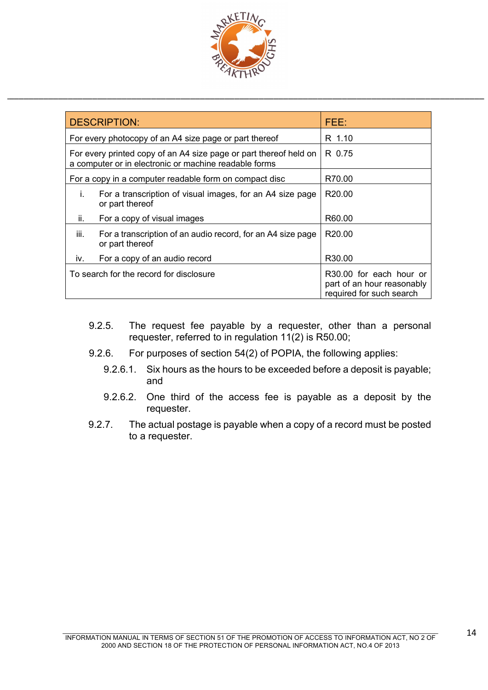

|      | <b>DESCRIPTION:</b>                                                                                                        | FEEA                                                                              |  |
|------|----------------------------------------------------------------------------------------------------------------------------|-----------------------------------------------------------------------------------|--|
|      | For every photocopy of an A4 size page or part thereof                                                                     | R 1.10                                                                            |  |
|      | For every printed copy of an A4 size page or part thereof held on<br>a computer or in electronic or machine readable forms | R 0.75                                                                            |  |
|      | For a copy in a computer readable form on compact disc                                                                     | R70.00                                                                            |  |
| İ.   | For a transcription of visual images, for an A4 size page<br>or part thereof                                               | R20.00                                                                            |  |
| ii.  | For a copy of visual images                                                                                                | R60.00                                                                            |  |
| iii. | For a transcription of an audio record, for an A4 size page<br>or part thereof                                             | R <sub>20.00</sub>                                                                |  |
| iv.  | For a copy of an audio record                                                                                              | R <sub>30.00</sub>                                                                |  |
|      | To search for the record for disclosure                                                                                    | R30.00 for each hour or<br>part of an hour reasonably<br>required for such search |  |

- 9.2.5. The request fee payable by a requester, other than a personal requester, referred to in regulation 11(2) is R50.00;
- 9.2.6. For purposes of section 54(2) of POPIA, the following applies:
	- 9.2.6.1. Six hours as the hours to be exceeded before a deposit is payable; and
	- 9.2.6.2. One third of the access fee is payable as a deposit by the requester.
- 9.2.7. The actual postage is payable when a copy of a record must be posted to a requester.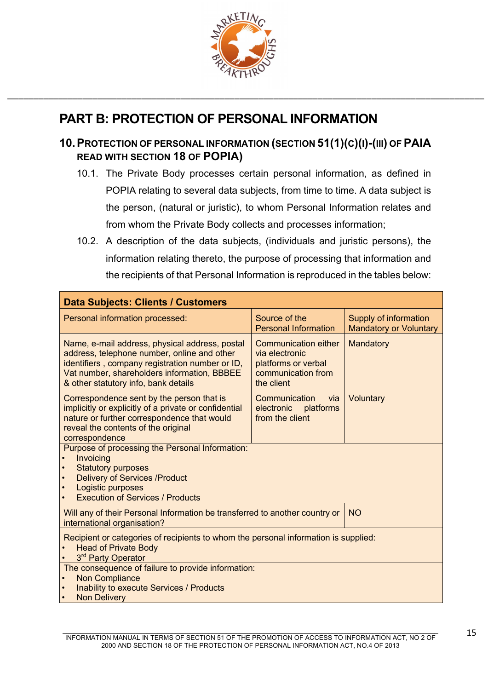

# **PART B: PROTECTION OF PERSONAL INFORMATION**

# **10.PROTECTION OF PERSONAL INFORMATION (SECTION 51(1)(C)(I)-(III) OF PAIA READ WITH SECTION 18 OF POPIA)**

- 10.1. The Private Body processes certain personal information, as defined in POPIA relating to several data subjects, from time to time. A data subject is the person, (natural or juristic), to whom Personal Information relates and from whom the Private Body collects and processes information;
- 10.2. A description of the data subjects, (individuals and juristic persons), the information relating thereto, the purpose of processing that information and the recipients of that Personal Information is reproduced in the tables below:

| <b>Data Subjects: Clients / Customers</b>                                                                                                                                                                                               |                                                                                                   |                                                        |
|-----------------------------------------------------------------------------------------------------------------------------------------------------------------------------------------------------------------------------------------|---------------------------------------------------------------------------------------------------|--------------------------------------------------------|
| Personal information processed:                                                                                                                                                                                                         | Source of the<br><b>Personal Information</b>                                                      | Supply of information<br><b>Mandatory or Voluntary</b> |
| Name, e-mail address, physical address, postal<br>address, telephone number, online and other<br>identifiers, company registration number or ID,<br>Vat number, shareholders information, BBBEE<br>& other statutory info, bank details | Communication either<br>via electronic<br>platforms or verbal<br>communication from<br>the client | Mandatory                                              |
| Correspondence sent by the person that is<br>implicitly or explicitly of a private or confidential<br>nature or further correspondence that would<br>reveal the contents of the original<br>correspondence                              | Communication<br>via.<br>electronic platforms<br>from the client                                  | Voluntary                                              |
| Purpose of processing the Personal Information:<br>Invoicing<br><b>Statutory purposes</b><br><b>Delivery of Services /Product</b><br>$\bullet$<br>Logistic purposes<br><b>Execution of Services / Products</b>                          |                                                                                                   |                                                        |
| Will any of their Personal Information be transferred to another country or<br>international organisation?                                                                                                                              |                                                                                                   | <b>NO</b>                                              |
| Recipient or categories of recipients to whom the personal information is supplied:<br><b>Head of Private Body</b><br>3rd Party Operator                                                                                                |                                                                                                   |                                                        |
| The consequence of failure to provide information:<br><b>Non Compliance</b><br>$\bullet$<br><b>Inability to execute Services / Products</b><br><b>Non Delivery</b>                                                                      |                                                                                                   |                                                        |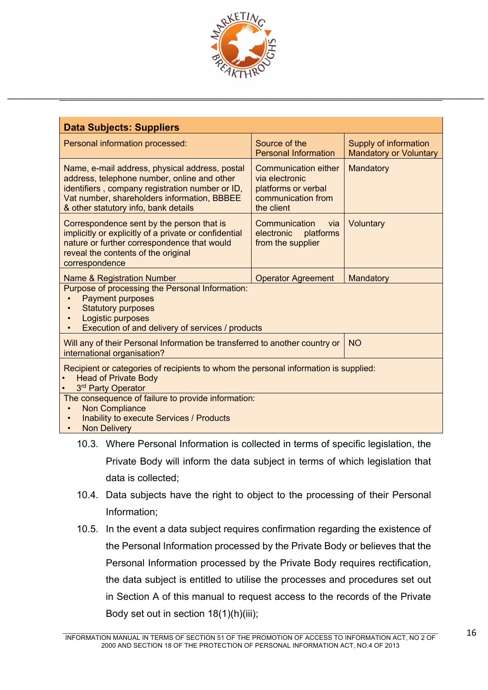

| <b>Data Subjects: Suppliers</b>                                                                                                                                                                                                         |                                                                                                          |                                                        |  |  |
|-----------------------------------------------------------------------------------------------------------------------------------------------------------------------------------------------------------------------------------------|----------------------------------------------------------------------------------------------------------|--------------------------------------------------------|--|--|
| Personal information processed:                                                                                                                                                                                                         | Source of the<br><b>Personal Information</b>                                                             | Supply of information<br><b>Mandatory or Voluntary</b> |  |  |
| Name, e-mail address, physical address, postal<br>address, telephone number, online and other<br>identifiers, company registration number or ID,<br>Vat number, shareholders information, BBBEE<br>& other statutory info, bank details | <b>Communication either</b><br>via electronic<br>platforms or verbal<br>communication from<br>the client | Mandatory                                              |  |  |
| Correspondence sent by the person that is<br>implicitly or explicitly of a private or confidential<br>nature or further correspondence that would<br>reveal the contents of the original<br>correspondence                              | Voluntary                                                                                                |                                                        |  |  |
| <b>Name &amp; Registration Number</b>                                                                                                                                                                                                   | <b>Operator Agreement</b>                                                                                | Mandatory                                              |  |  |
| Purpose of processing the Personal Information:<br><b>Payment purposes</b><br><b>Statutory purposes</b><br>Logistic purposes<br>Execution of and delivery of services / products                                                        |                                                                                                          |                                                        |  |  |
| Will any of their Personal Information be transferred to another country or<br>international organisation?                                                                                                                              |                                                                                                          | <b>NO</b>                                              |  |  |
| Recipient or categories of recipients to whom the personal information is supplied:<br><b>Head of Private Body</b><br>3 <sup>rd</sup> Party Operator                                                                                    |                                                                                                          |                                                        |  |  |
| The consequence of failure to provide information:<br><b>Non Compliance</b><br><b>Inability to execute Services / Products</b><br><b>Non Delivery</b>                                                                                   |                                                                                                          |                                                        |  |  |

- 10.3. Where Personal Information is collected in terms of specific legislation, the Private Body will inform the data subject in terms of which legislation that data is collected;
- 10.4. Data subjects have the right to object to the processing of their Personal Information;
- 10.5. In the event a data subject requires confirmation regarding the existence of the Personal Information processed by the Private Body or believes that the Personal Information processed by the Private Body requires rectification, the data subject is entitled to utilise the processes and procedures set out in Section A of this manual to request access to the records of the Private Body set out in section 18(1)(h)(iii);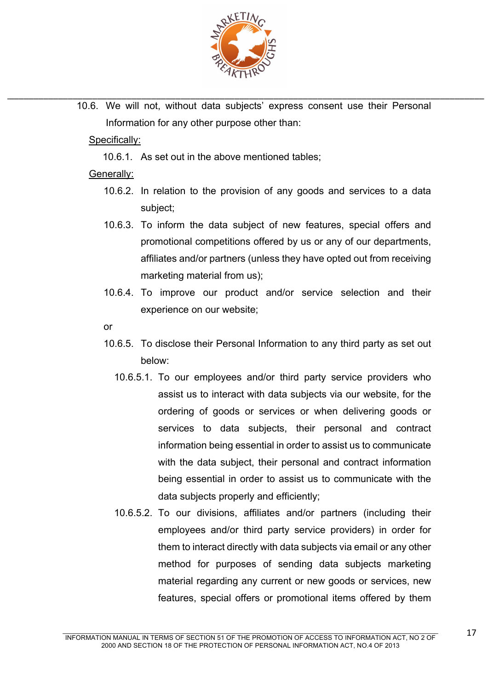

\_\_\_\_\_\_\_\_\_\_\_\_\_\_\_\_\_\_\_\_\_\_\_\_\_\_\_\_\_\_\_\_\_\_\_\_\_\_\_\_\_\_\_\_\_\_\_\_\_\_\_\_\_\_\_\_\_\_\_\_\_\_\_\_\_\_\_\_\_\_\_\_\_\_\_\_\_\_\_\_\_\_\_\_\_\_\_\_\_\_\_\_\_\_\_\_\_\_ 10.6. We will not, without data subjects' express consent use their Personal Information for any other purpose other than:

## Specifically:

10.6.1. As set out in the above mentioned tables;

### Generally:

- 10.6.2. In relation to the provision of any goods and services to a data subject;
- 10.6.3. To inform the data subject of new features, special offers and promotional competitions offered by us or any of our departments, affiliates and/or partners (unless they have opted out from receiving marketing material from us);
- 10.6.4. To improve our product and/or service selection and their experience on our website;

or

- 10.6.5. To disclose their Personal Information to any third party as set out below:
	- 10.6.5.1. To our employees and/or third party service providers who assist us to interact with data subjects via our website, for the ordering of goods or services or when delivering goods or services to data subjects, their personal and contract information being essential in order to assist us to communicate with the data subject, their personal and contract information being essential in order to assist us to communicate with the data subjects properly and efficiently;
	- 10.6.5.2. To our divisions, affiliates and/or partners (including their employees and/or third party service providers) in order for them to interact directly with data subjects via email or any other method for purposes of sending data subjects marketing material regarding any current or new goods or services, new features, special offers or promotional items offered by them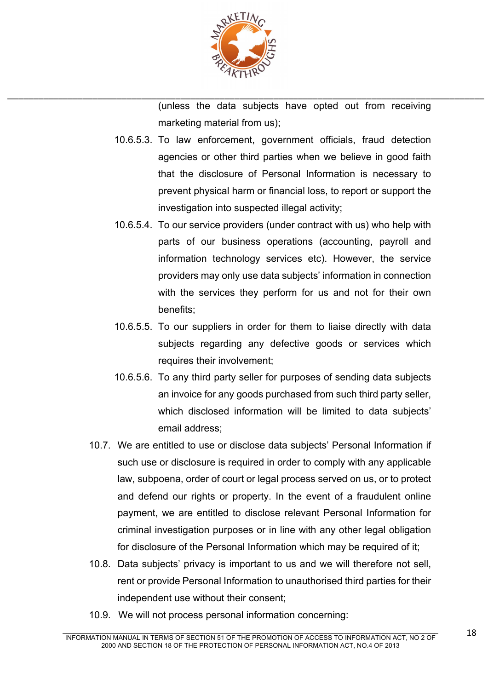

(unless the data subjects have opted out from receiving marketing material from us);

- 10.6.5.3. To law enforcement, government officials, fraud detection agencies or other third parties when we believe in good faith that the disclosure of Personal Information is necessary to prevent physical harm or financial loss, to report or support the investigation into suspected illegal activity;
- 10.6.5.4. To our service providers (under contract with us) who help with parts of our business operations (accounting, payroll and information technology services etc). However, the service providers may only use data subjects' information in connection with the services they perform for us and not for their own benefits;
- 10.6.5.5. To our suppliers in order for them to liaise directly with data subjects regarding any defective goods or services which requires their involvement;
- 10.6.5.6. To any third party seller for purposes of sending data subjects an invoice for any goods purchased from such third party seller, which disclosed information will be limited to data subjects' email address;
- 10.7. We are entitled to use or disclose data subjects' Personal Information if such use or disclosure is required in order to comply with any applicable law, subpoena, order of court or legal process served on us, or to protect and defend our rights or property. In the event of a fraudulent online payment, we are entitled to disclose relevant Personal Information for criminal investigation purposes or in line with any other legal obligation for disclosure of the Personal Information which may be required of it;
- 10.8. Data subjects' privacy is important to us and we will therefore not sell, rent or provide Personal Information to unauthorised third parties for their independent use without their consent;
- 10.9. We will not process personal information concerning: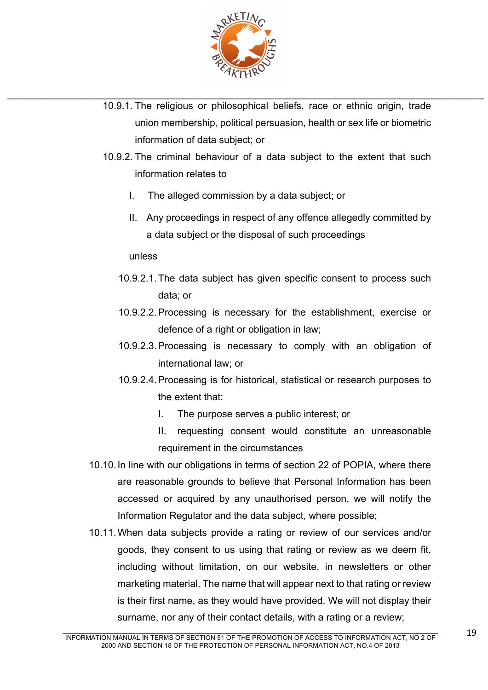

- \_\_\_\_\_\_\_\_\_\_\_\_\_\_\_\_\_\_\_\_\_\_\_\_\_\_\_\_\_\_\_\_\_\_\_\_\_\_\_\_\_\_\_\_\_\_\_\_\_\_\_\_\_\_\_\_\_\_\_\_\_\_\_\_\_\_\_\_\_\_\_\_\_\_\_\_\_\_\_\_\_\_\_\_\_\_\_\_\_\_\_\_\_\_\_\_\_\_ 10.9.1. The religious or philosophical beliefs, race or ethnic origin, trade union membership, political persuasion, health or sex life or biometric information of data subject; or
	- 10.9.2. The criminal behaviour of a data subject to the extent that such information relates to
		- I. The alleged commission by a data subject; or
		- II. Any proceedings in respect of any offence allegedly committed by a data subject or the disposal of such proceedings

unless

- 10.9.2.1.The data subject has given specific consent to process such data; or
- 10.9.2.2.Processing is necessary for the establishment, exercise or defence of a right or obligation in law:
- 10.9.2.3.Processing is necessary to comply with an obligation of international law; or
- 10.9.2.4.Processing is for historical, statistical or research purposes to the extent that:
	- I. The purpose serves a public interest; or
	- II. requesting consent would constitute an unreasonable requirement in the circumstances
- 10.10.In line with our obligations in terms of section 22 of POPIA, where there are reasonable grounds to believe that Personal Information has been accessed or acquired by any unauthorised person, we will notify the Information Regulator and the data subject, where possible;
- 10.11.When data subjects provide a rating or review of our services and/or goods, they consent to us using that rating or review as we deem fit, including without limitation, on our website, in newsletters or other marketing material. The name that will appear next to that rating or review is their first name, as they would have provided. We will not display their surname, nor any of their contact details, with a rating or a review;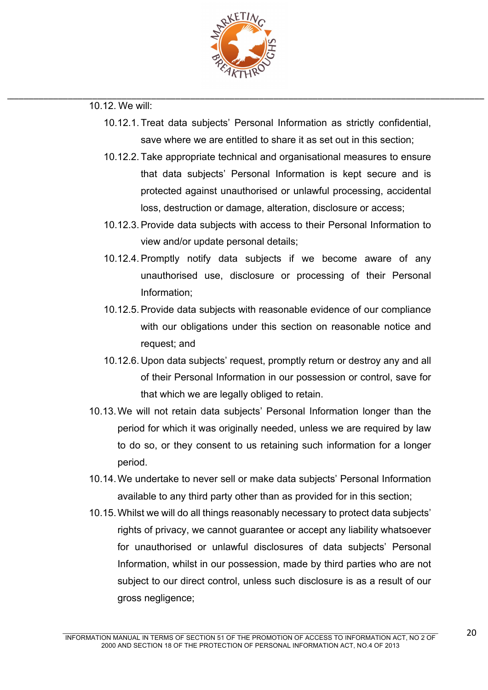

- 10.12.1. Treat data subjects' Personal Information as strictly confidential, save where we are entitled to share it as set out in this section;
- 10.12.2. Take appropriate technical and organisational measures to ensure that data subjects' Personal Information is kept secure and is protected against unauthorised or unlawful processing, accidental loss, destruction or damage, alteration, disclosure or access;
- 10.12.3.Provide data subjects with access to their Personal Information to view and/or update personal details;
- 10.12.4.Promptly notify data subjects if we become aware of any unauthorised use, disclosure or processing of their Personal Information;
- 10.12.5.Provide data subjects with reasonable evidence of our compliance with our obligations under this section on reasonable notice and request; and
- 10.12.6. Upon data subjects' request, promptly return or destroy any and all of their Personal Information in our possession or control, save for that which we are legally obliged to retain.
- 10.13.We will not retain data subjects' Personal Information longer than the period for which it was originally needed, unless we are required by law to do so, or they consent to us retaining such information for a longer period.
- 10.14.We undertake to never sell or make data subjects' Personal Information available to any third party other than as provided for in this section;
- 10.15.Whilst we will do all things reasonably necessary to protect data subjects' rights of privacy, we cannot guarantee or accept any liability whatsoever for unauthorised or unlawful disclosures of data subjects' Personal Information, whilst in our possession, made by third parties who are not subject to our direct control, unless such disclosure is as a result of our gross negligence;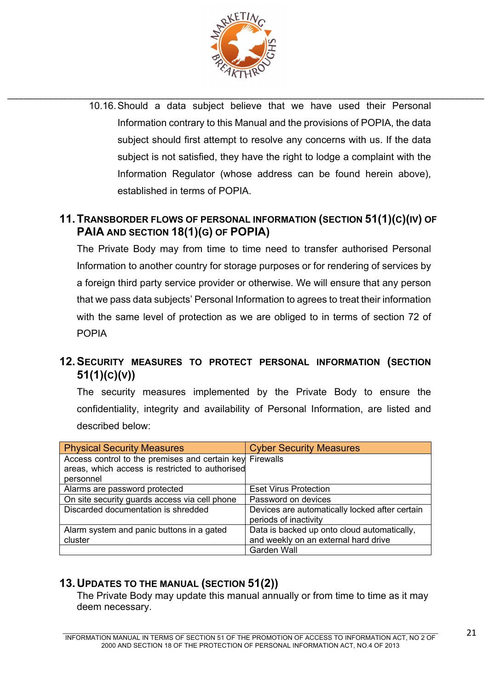

\_\_\_\_\_\_\_\_\_\_\_\_\_\_\_\_\_\_\_\_\_\_\_\_\_\_\_\_\_\_\_\_\_\_\_\_\_\_\_\_\_\_\_\_\_\_\_\_\_\_\_\_\_\_\_\_\_\_\_\_\_\_\_\_\_\_\_\_\_\_\_\_\_\_\_\_\_\_\_\_\_\_\_\_\_\_\_\_\_\_\_\_\_\_\_\_\_\_ 10.16.Should a data subject believe that we have used their Personal Information contrary to this Manual and the provisions of POPIA, the data subject should first attempt to resolve any concerns with us. If the data subject is not satisfied, they have the right to lodge a complaint with the Information Regulator (whose address can be found herein above), established in terms of POPIA.

# **11.TRANSBORDER FLOWS OF PERSONAL INFORMATION (SECTION 51(1)(C)(IV) OF PAIA AND SECTION 18(1)(G) OF POPIA)**

The Private Body may from time to time need to transfer authorised Personal Information to another country for storage purposes or for rendering of services by a foreign third party service provider or otherwise. We will ensure that any person that we pass data subjects' Personal Information to agrees to treat their information with the same level of protection as we are obliged to in terms of section 72 of POPIA

# **12.SECURITY MEASURES TO PROTECT PERSONAL INFORMATION (SECTION 51(1)(C)(V))**

The security measures implemented by the Private Body to ensure the confidentiality, integrity and availability of Personal Information, are listed and described below:

| <b>Physical Security Measures</b>                        | <b>Cyber Security Measures</b>                 |
|----------------------------------------------------------|------------------------------------------------|
| Access control to the premises and certain key Firewalls |                                                |
| areas, which access is restricted to authorised          |                                                |
| personnel                                                |                                                |
| Alarms are password protected                            | <b>Eset Virus Protection</b>                   |
| On site security guards access via cell phone            | Password on devices                            |
| Discarded documentation is shredded                      | Devices are automatically locked after certain |
|                                                          | periods of inactivity                          |
| Alarm system and panic buttons in a gated                | Data is backed up onto cloud automatically,    |
| cluster                                                  | and weekly on an external hard drive           |
|                                                          | <b>Garden Wall</b>                             |

# **13.UPDATES TO THE MANUAL (SECTION 51(2))**

The Private Body may update this manual annually or from time to time as it may deem necessary.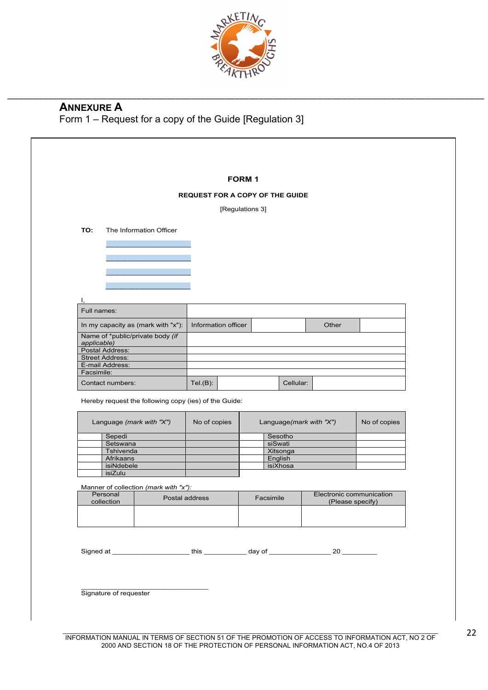

### \_\_\_\_\_\_\_\_\_\_\_\_\_\_\_\_\_\_\_\_\_\_\_\_\_\_\_\_\_\_\_\_\_\_\_\_\_\_\_\_\_\_\_\_\_\_\_\_\_\_\_\_\_\_\_\_\_\_\_\_\_\_\_\_\_\_\_\_\_\_\_\_\_\_\_\_\_\_\_\_\_\_\_\_\_\_\_\_\_\_\_\_\_\_\_\_\_\_ **ANNEXURE A** Form 1 – Request for a copy of the Guide [Regulation 3]

|                                                       |                         |                     | <b>FORM1</b>                           |                         |                          |
|-------------------------------------------------------|-------------------------|---------------------|----------------------------------------|-------------------------|--------------------------|
|                                                       |                         |                     | <b>REQUEST FOR A COPY OF THE GUIDE</b> |                         |                          |
|                                                       |                         |                     | [Regulations 3]                        |                         |                          |
| TO:                                                   | The Information Officer |                     |                                        |                         |                          |
|                                                       |                         |                     |                                        |                         |                          |
|                                                       |                         |                     |                                        |                         |                          |
|                                                       |                         |                     |                                        |                         |                          |
|                                                       |                         |                     |                                        |                         |                          |
|                                                       |                         |                     |                                        |                         |                          |
| I.                                                    |                         |                     |                                        |                         |                          |
| Full names:                                           |                         |                     |                                        |                         |                          |
| In my capacity as (mark with "x"):                    |                         | Information officer |                                        | Other                   |                          |
| Name of *public/private body (if                      |                         |                     |                                        |                         |                          |
| applicable)<br>Postal Address:                        |                         |                     |                                        |                         |                          |
| <b>Street Address:</b>                                |                         |                     |                                        |                         |                          |
| E-mail Address:                                       |                         |                     |                                        |                         |                          |
| Facsimile:                                            |                         |                     |                                        |                         |                          |
| Contact numbers:                                      |                         | $Tel(B)$ :          | Cellular:                              |                         |                          |
| Hereby request the following copy (ies) of the Guide: |                         |                     |                                        |                         |                          |
| Language (mark with "X")                              |                         | No of copies        |                                        | Language(mark with "X") | No of copies             |
|                                                       |                         |                     |                                        |                         |                          |
| Sepedi<br>Setswana                                    |                         |                     | Sesotho<br>siSwati                     |                         |                          |
| Tshivenda                                             |                         |                     | Xitsonga                               |                         |                          |
| Afrikaans                                             |                         |                     | English                                |                         |                          |
| isiNdebele                                            |                         |                     | isiXhosa                               |                         |                          |
| isiZulu                                               |                         |                     |                                        |                         |                          |
| Manner of collection (mark with "x"):                 |                         |                     |                                        |                         |                          |
| Personal<br>collection                                |                         | Postal address      | Facsimile                              | (Please specify)        | Electronic communication |
|                                                       |                         |                     |                                        |                         |                          |
|                                                       |                         |                     |                                        |                         |                          |
|                                                       |                         |                     |                                        |                         |                          |
|                                                       |                         |                     |                                        |                         |                          |
|                                                       |                         |                     |                                        |                         |                          |
|                                                       |                         |                     |                                        |                         |                          |
|                                                       |                         |                     |                                        |                         |                          |
|                                                       |                         |                     |                                        |                         |                          |

 $\mathcal{L}_\mathcal{L} = \mathcal{L}_\mathcal{L} = \mathcal{L}_\mathcal{L} = \mathcal{L}_\mathcal{L} = \mathcal{L}_\mathcal{L} = \mathcal{L}_\mathcal{L} = \mathcal{L}_\mathcal{L} = \mathcal{L}_\mathcal{L} = \mathcal{L}_\mathcal{L} = \mathcal{L}_\mathcal{L} = \mathcal{L}_\mathcal{L} = \mathcal{L}_\mathcal{L} = \mathcal{L}_\mathcal{L} = \mathcal{L}_\mathcal{L} = \mathcal{L}_\mathcal{L} = \mathcal{L}_\mathcal{L} = \mathcal{L}_\mathcal{L}$ INFORMATION MANUAL IN TERMS OF SECTION 51 OF THE PROMOTION OF ACCESS TO INFORMATION ACT, NO 2 OF 2000 AND SECTION 18 OF THE PROTECTION OF PERSONAL INFORMATION ACT, NO.4 OF 2013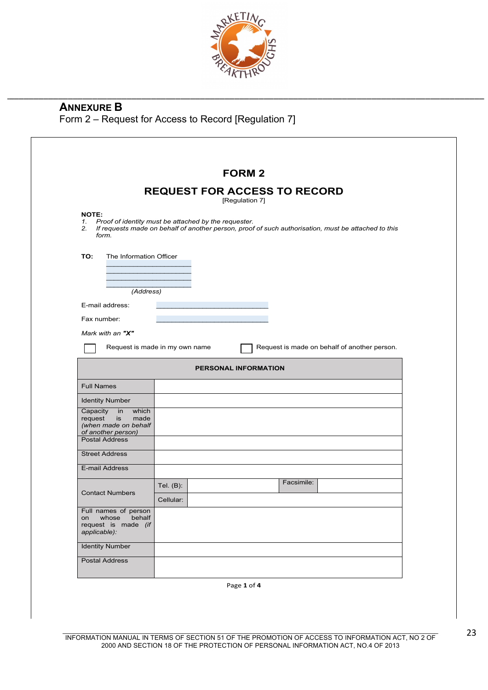

## **ANNEXURE B** Form 2 – Request for Access to Record [Regulation 7]

|                                                                                                                      | <b>FORM 2</b>                                                                                                                                                     |
|----------------------------------------------------------------------------------------------------------------------|-------------------------------------------------------------------------------------------------------------------------------------------------------------------|
|                                                                                                                      | <b>REQUEST FOR ACCESS TO RECORD</b><br>[Regulation 7]                                                                                                             |
| <b>NOTE:</b><br>form.                                                                                                | 1. Proof of identity must be attached by the requester.<br>2. If requests made on behalf of another person, proof of such authorisation, must be attached to this |
| TO:<br>The Information Officer                                                                                       |                                                                                                                                                                   |
| (Address)                                                                                                            |                                                                                                                                                                   |
| E-mail address:                                                                                                      |                                                                                                                                                                   |
| Fax number:                                                                                                          |                                                                                                                                                                   |
| Mark with an "X"                                                                                                     |                                                                                                                                                                   |
|                                                                                                                      | Request is made on behalf of another person.<br>Request is made in my own name                                                                                    |
|                                                                                                                      | <b>PERSONAL INFORMATION</b>                                                                                                                                       |
| <b>Full Names</b>                                                                                                    |                                                                                                                                                                   |
| <b>Identity Number</b>                                                                                               |                                                                                                                                                                   |
| Capacity in<br>which<br>request<br>made<br>is<br>(when made on behalf<br>of another person)<br><b>Postal Address</b> |                                                                                                                                                                   |
| <b>Street Address</b>                                                                                                |                                                                                                                                                                   |
| E-mail Address                                                                                                       |                                                                                                                                                                   |
|                                                                                                                      | Facsimile:<br>Tel. $(B)$ :                                                                                                                                        |
| <b>Contact Numbers</b>                                                                                               | Cellular:                                                                                                                                                         |
|                                                                                                                      |                                                                                                                                                                   |
| whose<br>behalf<br>on                                                                                                |                                                                                                                                                                   |
| Full names of person<br>request is made (if<br>applicable):<br><b>Identity Number</b>                                |                                                                                                                                                                   |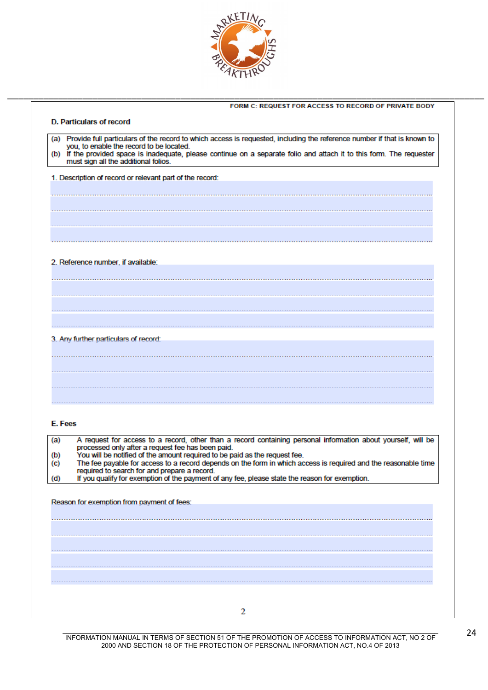

| <b>D. Particulars of record</b>                                                                                                                                                                                                                                                                                                           |  |  |  |
|-------------------------------------------------------------------------------------------------------------------------------------------------------------------------------------------------------------------------------------------------------------------------------------------------------------------------------------------|--|--|--|
| (a) Provide full particulars of the record to which access is requested, including the reference number if that is known to<br>you, to enable the record to be located.<br>(b) If the provided space is inadequate, please continue on a separate folio and attach it to this form. The requester<br>must sign all the additional folios. |  |  |  |
| 1. Description of record or relevant part of the record:                                                                                                                                                                                                                                                                                  |  |  |  |
|                                                                                                                                                                                                                                                                                                                                           |  |  |  |
|                                                                                                                                                                                                                                                                                                                                           |  |  |  |
|                                                                                                                                                                                                                                                                                                                                           |  |  |  |
|                                                                                                                                                                                                                                                                                                                                           |  |  |  |
|                                                                                                                                                                                                                                                                                                                                           |  |  |  |
| 2. Reference number, if available:                                                                                                                                                                                                                                                                                                        |  |  |  |
|                                                                                                                                                                                                                                                                                                                                           |  |  |  |
|                                                                                                                                                                                                                                                                                                                                           |  |  |  |
|                                                                                                                                                                                                                                                                                                                                           |  |  |  |
| 3. Any further particulars of record:                                                                                                                                                                                                                                                                                                     |  |  |  |
|                                                                                                                                                                                                                                                                                                                                           |  |  |  |
|                                                                                                                                                                                                                                                                                                                                           |  |  |  |
|                                                                                                                                                                                                                                                                                                                                           |  |  |  |
|                                                                                                                                                                                                                                                                                                                                           |  |  |  |
|                                                                                                                                                                                                                                                                                                                                           |  |  |  |
| E. Fees                                                                                                                                                                                                                                                                                                                                   |  |  |  |
| A request for access to a record, other than a record containing personal information about yourself, will be<br>(a)<br>processed only after a request fee has been paid.                                                                                                                                                                 |  |  |  |
| You will be notified of the amount required to be paid as the request fee.<br>(b)<br>The fee payable for access to a record depends on the form in which access is required and the reasonable time<br>(C)                                                                                                                                |  |  |  |
| required to search for and prepare a record.<br>If you qualify for exemption of the payment of any fee, please state the reason for exemption.<br>(d)                                                                                                                                                                                     |  |  |  |
| Reason for exemption from payment of fees:                                                                                                                                                                                                                                                                                                |  |  |  |
|                                                                                                                                                                                                                                                                                                                                           |  |  |  |
|                                                                                                                                                                                                                                                                                                                                           |  |  |  |
|                                                                                                                                                                                                                                                                                                                                           |  |  |  |
|                                                                                                                                                                                                                                                                                                                                           |  |  |  |
|                                                                                                                                                                                                                                                                                                                                           |  |  |  |
|                                                                                                                                                                                                                                                                                                                                           |  |  |  |
| 2                                                                                                                                                                                                                                                                                                                                         |  |  |  |
|                                                                                                                                                                                                                                                                                                                                           |  |  |  |

 $\mathcal{L}_\mathcal{L} = \mathcal{L}_\mathcal{L} = \mathcal{L}_\mathcal{L} = \mathcal{L}_\mathcal{L} = \mathcal{L}_\mathcal{L} = \mathcal{L}_\mathcal{L} = \mathcal{L}_\mathcal{L} = \mathcal{L}_\mathcal{L} = \mathcal{L}_\mathcal{L} = \mathcal{L}_\mathcal{L} = \mathcal{L}_\mathcal{L} = \mathcal{L}_\mathcal{L} = \mathcal{L}_\mathcal{L} = \mathcal{L}_\mathcal{L} = \mathcal{L}_\mathcal{L} = \mathcal{L}_\mathcal{L} = \mathcal{L}_\mathcal{L}$ INFORMATION MANUAL IN TERMS OF SECTION 51 OF THE PROMOTION OF ACCESS TO INFORMATION ACT, NO 2 OF 2000 AND SECTION 18 OF THE PROTECTION OF PERSONAL INFORMATION ACT, NO.4 OF 2013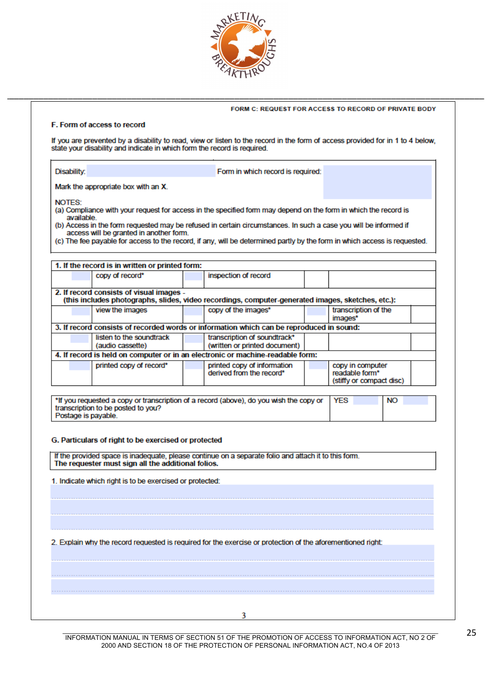

FORM C: REQUEST FOR ACCESS TO RECORD OF PRIVATE BODY

#### F. Form of access to record

If you are prevented by a disability to read, view or listen to the record in the form of access provided for in 1 to 4 below. state your disability and indicate in which form the record is required.

Form in which record is required:

\_\_\_\_\_\_\_\_\_\_\_\_\_\_\_\_\_\_\_\_\_\_\_\_\_\_\_\_\_\_\_\_\_\_\_\_\_\_\_\_\_\_\_\_\_\_\_\_\_\_\_\_\_\_\_\_\_\_\_\_\_\_\_\_\_\_\_\_\_\_\_\_\_\_\_\_\_\_\_\_\_\_\_\_\_\_\_\_\_\_\_\_\_\_\_\_\_\_

| Mark the appropriate box with an X. |  |
|-------------------------------------|--|

**NOTES:** 

Disability:

- (a) Compliance with your request for access in the specified form may depend on the form in which the record is available
- (b) Access in the form requested may be refused in certain circumstances. In such a case you will be informed if access will be granted in another form.
- (c) The fee payable for access to the record, if any, will be determined partly by the form in which access is requested.

| 1. If the record is in written or printed form: |                                                                                                   |                          |  |
|-------------------------------------------------|---------------------------------------------------------------------------------------------------|--------------------------|--|
| copy of record*                                 | inspection of record                                                                              |                          |  |
|                                                 |                                                                                                   |                          |  |
| 2. If record consists of visual images -        |                                                                                                   |                          |  |
|                                                 | (this includes photographs, slides, video recordings, computer-generated images, sketches, etc.): |                          |  |
| view the images                                 | copy of the images*                                                                               | transcription of the     |  |
|                                                 |                                                                                                   | images*                  |  |
|                                                 | 3. If record consists of recorded words or information which can be reproduced in sound:          |                          |  |
| listen to the soundtrack                        | transcription of soundtrack*                                                                      |                          |  |
| (audio cassette)                                | (written or printed document)                                                                     |                          |  |
|                                                 | 4. If record is held on computer or in an electronic or machine-readable form:                    |                          |  |
| printed copy of record*                         | printed copy of information                                                                       | copy in computer         |  |
|                                                 | derived from the record*                                                                          | readable form*           |  |
|                                                 |                                                                                                   | (stiffy or compact disc) |  |

| *If you requested a copy or transcription of a record (above), do you wish the copy or   YES | <b>NO</b> |
|----------------------------------------------------------------------------------------------|-----------|
| transcription to be posted to you?                                                           |           |
| Postage is pavable                                                                           |           |

#### G. Particulars of right to be exercised or protected

If the provided space is inadequate, please continue on a separate folio and attach it to this form. The requester must sign all the additional folios.

1. Indicate which right is to be exercised or protected:

2. Explain why the record requested is required for the exercise or protection of the aforementioned right:

3